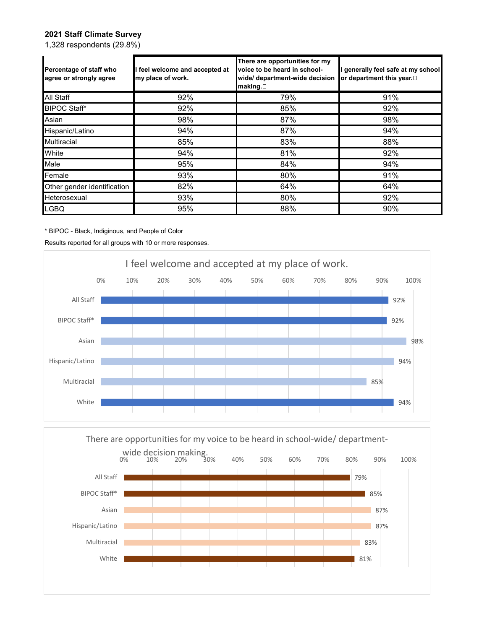## **2021 Staff Climate Survey**

1,328 respondents (29.8%)

| Percentage of staff who<br>agree or strongly agree | feel welcome and accepted at<br>my place of work. | There are opportunities for my<br>voice to be heard in school-<br>wide/ department-wide decision<br>$making. \Box$ | generally feel safe at my school<br>or department this year. |
|----------------------------------------------------|---------------------------------------------------|--------------------------------------------------------------------------------------------------------------------|--------------------------------------------------------------|
| All Staff                                          | 92%                                               | 79%                                                                                                                | 91%                                                          |
| <b>BIPOC Staff*</b>                                | 92%                                               | 85%                                                                                                                | 92%                                                          |
| Asian                                              | 98%                                               | 87%                                                                                                                | 98%                                                          |
| Hispanic/Latino                                    | 94%                                               | 87%                                                                                                                | 94%                                                          |
| Multiracial                                        | 85%                                               | 83%                                                                                                                | 88%                                                          |
| White                                              | 94%                                               | 81%                                                                                                                | 92%                                                          |
| Male                                               | 95%                                               | 84%                                                                                                                | 94%                                                          |
| Female                                             | 93%                                               | 80%                                                                                                                | 91%                                                          |
| Other gender identification                        | 82%                                               | 64%                                                                                                                | 64%                                                          |
| Heterosexual                                       | 93%                                               | 80%                                                                                                                | 92%                                                          |
| LGBQ                                               | 95%                                               | 88%                                                                                                                | 90%                                                          |

\* BIPOC - Black, Indiginous, and People of Color

Results reported for all groups with 10 or more responses.